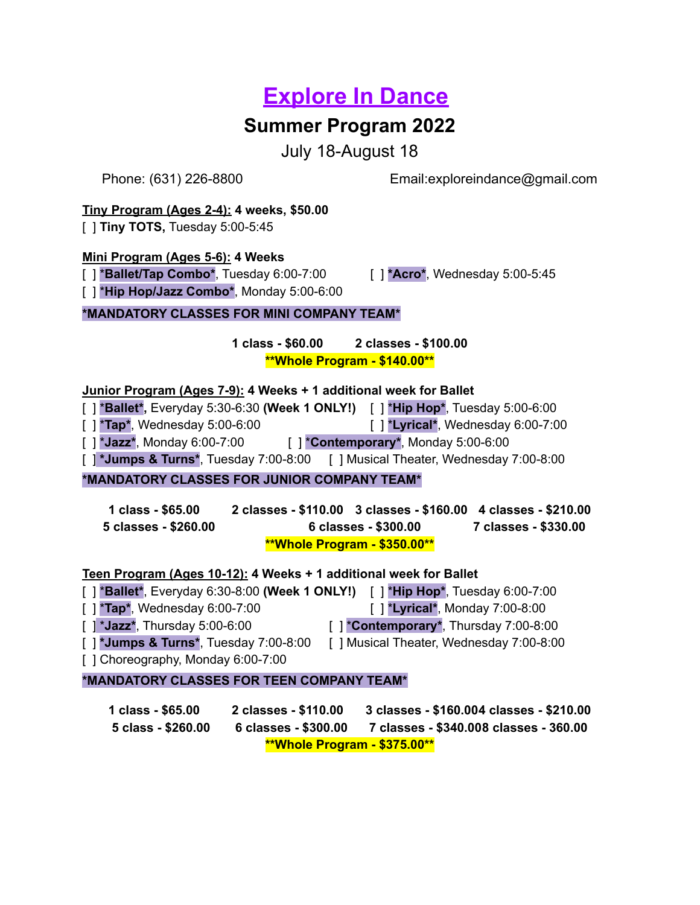# **Explore In Dance**

# **Summer Program 2022**

July 18-August 18

Phone: (631) 226-8800 Email:exploreindance@gmail.com

#### **Tiny Program (Ages 2-4): 4 weeks, \$50.00**

[ ] **Tiny TOTS,** Tuesday 5:00-5:45

#### **Mini Program (Ages 5-6): 4 Weeks**

[ ] \***Ballet/Tap Combo\***, Tuesday 6:00-7:00 [ ] **\*Acro\***, Wednesday 5:00-5:45

[ ] \***Hip Hop/Jazz Combo\***, Monday 5:00-6:00

## **\*MANDATORY CLASSES FOR MINI COMPANY TEAM\***

**1 class - \$60.00 2 classes - \$100.00 \*\*Whole Program - \$140.00\*\***

## **Junior Program (Ages 7-9): 4 Weeks + 1 additional week for Ballet**

[ ] \***Ballet\*,** Everyday 5:30-6:30 **(Week 1 ONLY!)** [ ] \***Hip Hop\***, Tuesday 5:00-6:00

[ ] \***Tap\***, Wednesday 5:00-6:00 [ ] \***Lyrical\***, Wednesday 6:00-7:00

[ ] \***Jazz\***, Monday 6:00-7:00 [ ] \***Contemporary\***, Monday 5:00-6:00

[ ] **\*Jumps & Turns\***, Tuesday 7:00-8:00 [ ] Musical Theater, Wednesday 7:00-8:00

# **\*MANDATORY CLASSES FOR JUNIOR COMPANY TEAM\***

**1 class - \$65.00 2 classes - \$110.00 3 classes - \$160.00 4 classes - \$210.00 5 classes - \$260.00 6 classes - \$300.00 7 classes - \$330.00 \*\*Whole Program - \$350.00\*\***

#### **Teen Program (Ages 10-12): 4 Weeks + 1 additional week for Ballet**

[ ] \***Ballet\***, Everyday 6:30-8:00 **(Week 1 ONLY!)** [ ] \***Hip Hop\***, Tuesday 6:00-7:00 [ ] \***Tap\***, Wednesday 6:00-7:00 [ ] \***Lyrical\***, Monday 7:00-8:00 [ ] \***Jazz\***, Thursday 5:00-6:00 [ ] \***Contemporary\***, Thursday 7:00-8:00 [ ] **\*Jumps & Turns\***, Tuesday 7:00-8:00 [ ] Musical Theater, Wednesday 7:00-8:00 [ ] Choreography, Monday 6:00-7:00

#### **\*MANDATORY CLASSES FOR TEEN COMPANY TEAM\***

**1 class - \$65.00 2 classes - \$110.00 3 classes - \$160.004 classes - \$210.00 5 class - \$260.00 6 classes - \$300.00 7 classes - \$340.008 classes - 360.00 \*\*Whole Program - \$375.00\*\***